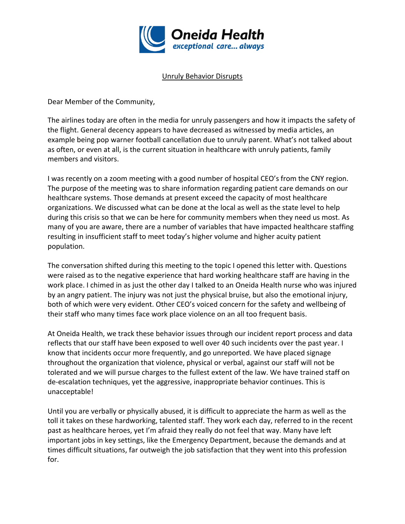

## Unruly Behavior Disrupts

Dear Member of the Community,

The airlines today are often in the media for unruly passengers and how it impacts the safety of the flight. General decency appears to have decreased as witnessed by media articles, an example being pop warner football cancellation due to unruly parent. What's not talked about as often, or even at all, is the current situation in healthcare with unruly patients, family members and visitors.

I was recently on a zoom meeting with a good number of hospital CEO's from the CNY region. The purpose of the meeting was to share information regarding patient care demands on our healthcare systems. Those demands at present exceed the capacity of most healthcare organizations. We discussed what can be done at the local as well as the state level to help during this crisis so that we can be here for community members when they need us most. As many of you are aware, there are a number of variables that have impacted healthcare staffing resulting in insufficient staff to meet today's higher volume and higher acuity patient population.

The conversation shifted during this meeting to the topic I opened this letter with. Questions were raised as to the negative experience that hard working healthcare staff are having in the work place. I chimed in as just the other day I talked to an Oneida Health nurse who was injured by an angry patient. The injury was not just the physical bruise, but also the emotional injury, both of which were very evident. Other CEO's voiced concern for the safety and wellbeing of their staff who many times face work place violence on an all too frequent basis.

At Oneida Health, we track these behavior issues through our incident report process and data reflects that our staff have been exposed to well over 40 such incidents over the past year. I know that incidents occur more frequently, and go unreported. We have placed signage throughout the organization that violence, physical or verbal, against our staff will not be tolerated and we will pursue charges to the fullest extent of the law. We have trained staff on de-escalation techniques, yet the aggressive, inappropriate behavior continues. This is unacceptable!

Until you are verbally or physically abused, it is difficult to appreciate the harm as well as the toll it takes on these hardworking, talented staff. They work each day, referred to in the recent past as healthcare heroes, yet I'm afraid they really do not feel that way. Many have left important jobs in key settings, like the Emergency Department, because the demands and at times difficult situations, far outweigh the job satisfaction that they went into this profession for.